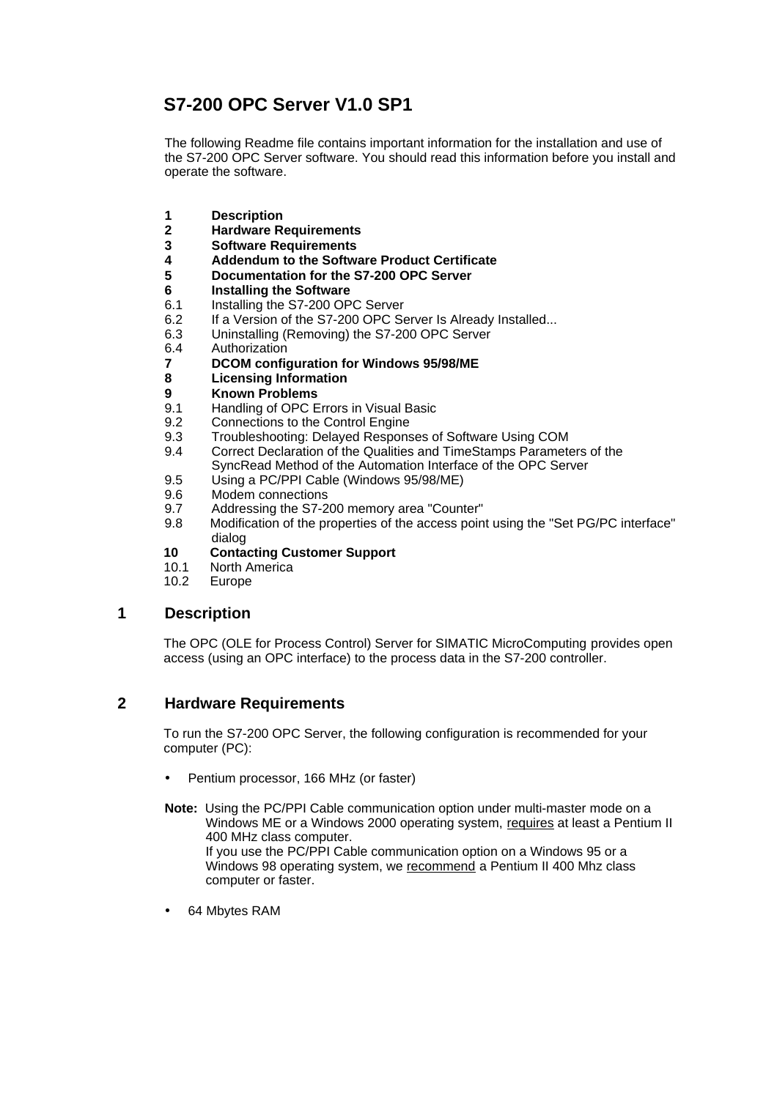# **S7-200 OPC Server V1.0 SP1**

The following Readme file contains important information for the installation and use of the S7-200 OPC Server software. You should read this information before you install and operate the software.

- **1 Description**
- **2 Hardware Requirements**
- **3 Software Requirements**
- **4 Addendum to the Software Product Certificate**
- **5 Documentation for the S7-200 OPC Server**
- **6 Installing the Software**
- 6.1 Installing the S7-200 OPC Server<br>6.2 If a Version of the S7-200 OPC Se
- If a Version of the S7-200 OPC Server Is Already Installed...
- 6.3 Uninstalling (Removing) the S7-200 OPC Server
- 6.4 Authorization
- **7 DCOM configuration for Windows 95/98/ME**
- **8 Licensing Information**
- **9 Known Problems**<br>**9.1** Handling of OPC B
- 9.1 Handling of OPC Errors in Visual Basic<br>9.2 Connections to the Control Engine
- Connections to the Control Engine
- 9.3 Troubleshooting: Delayed Responses of Software Using COM
- 9.4 Correct Declaration of the Qualities and TimeStamps Parameters of the SyncRead Method of the Automation Interface of the OPC Server
- 9.5 Using a PC/PPI Cable (Windows 95/98/ME)
- 9.6 Modem connections
- 9.7 Addressing the S7-200 memory area "Counter"
- 9.8 Modification of the properties of the access point using the "Set PG/PC interface" dialog

### **10 Contacting Customer Support**

- 10.1 North America
- 10.2 Europe

# **1 Description**

The OPC (OLE for Process Control) Server for SIMATIC MicroComputing provides open access (using an OPC interface) to the process data in the S7-200 controller.

# **2 Hardware Requirements**

To run the S7-200 OPC Server, the following configuration is recommended for your computer (PC):

- Pentium processor, 166 MHz (or faster)
- **Note:** Using the PC/PPI Cable communication option under multi-master mode on a Windows ME or a Windows 2000 operating system, requires at least a Pentium II 400 MHz class computer. If you use the PC/PPI Cable communication option on a Windows 95 or a Windows 98 operating system, we recommend a Pentium II 400 Mhz class computer or faster.
- 64 Mbytes RAM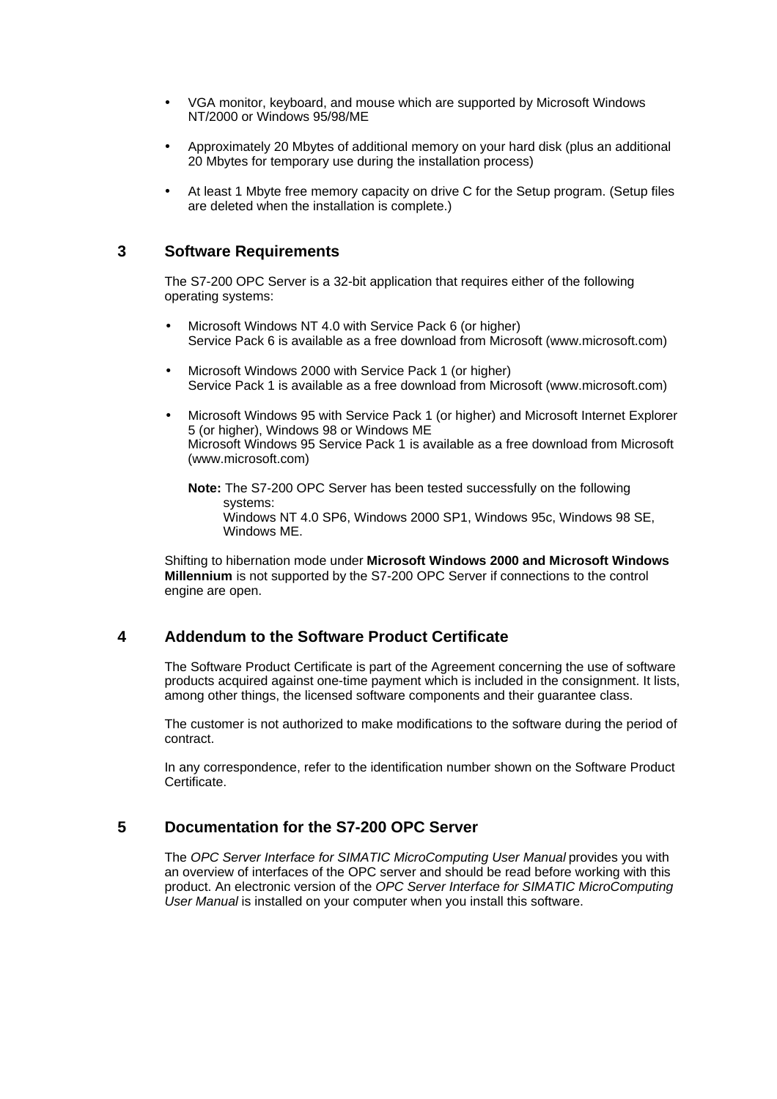- VGA monitor, keyboard, and mouse which are supported by Microsoft Windows NT/2000 or Windows 95/98/ME
- Approximately 20 Mbytes of additional memory on your hard disk (plus an additional 20 Mbytes for temporary use during the installation process)
- At least 1 Mbyte free memory capacity on drive C for the Setup program. (Setup files are deleted when the installation is complete.)

# **3 Software Requirements**

The S7-200 OPC Server is a 32-bit application that requires either of the following operating systems:

- Microsoft Windows NT 4.0 with Service Pack 6 (or higher) Service Pack 6 is available as a free download from Microsoft (www.microsoft.com)
- Microsoft Windows 2000 with Service Pack 1 (or higher) Service Pack 1 is available as a free download from Microsoft (www.microsoft.com)
- Microsoft Windows 95 with Service Pack 1 (or higher) and Microsoft Internet Explorer 5 (or higher), Windows 98 or Windows ME Microsoft Windows 95 Service Pack 1 is available as a free download from Microsoft (www.microsoft.com)

**Note:** The S7-200 OPC Server has been tested successfully on the following systems: Windows NT 4.0 SP6, Windows 2000 SP1, Windows 95c, Windows 98 SE, Windows ME.

Shifting to hibernation mode under **Microsoft Windows 2000 and Microsoft Windows Millennium** is not supported by the S7-200 OPC Server if connections to the control engine are open.

# **4 Addendum to the Software Product Certificate**

The Software Product Certificate is part of the Agreement concerning the use of software products acquired against one-time payment which is included in the consignment. It lists, among other things, the licensed software components and their guarantee class.

The customer is not authorized to make modifications to the software during the period of contract.

In any correspondence, refer to the identification number shown on the Software Product Certificate.

# **5 Documentation for the S7-200 OPC Server**

The *OPC Server Interface for SIMATIC MicroComputing User Manual* provides you with an overview of interfaces of the OPC server and should be read before working with this product. An electronic version of the *OPC Server Interface for SIMATIC MicroComputing User Manual* is installed on your computer when you install this software.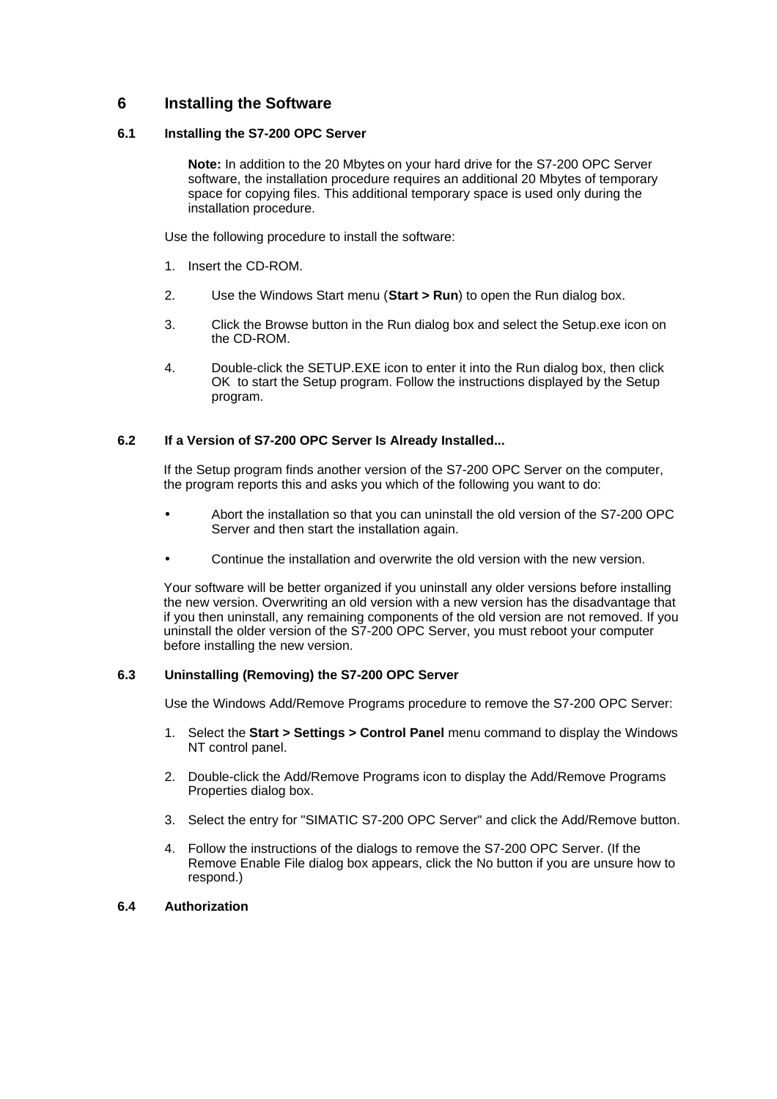# **6 Installing the Software**

#### **6.1 Installing the S7-200 OPC Server**

**Note:** In addition to the 20 Mbytes on your hard drive for the S7-200 OPC Server software, the installation procedure requires an additional 20 Mbytes of temporary space for copying files. This additional temporary space is used only during the installation procedure.

Use the following procedure to install the software:

- 1. Insert the CD-ROM.
- 2. Use the Windows Start menu (**Start > Run**) to open the Run dialog box.
- 3. Click the Browse button in the Run dialog box and select the Setup.exe icon on the CD-ROM.
- 4. Double-click the SETUP.EXE icon to enter it into the Run dialog box, then click OK to start the Setup program. Follow the instructions displayed by the Setup program.

#### **6.2 If a Version of S7-200 OPC Server Is Already Installed...**

If the Setup program finds another version of the S7-200 OPC Server on the computer, the program reports this and asks you which of the following you want to do:

- Abort the installation so that you can uninstall the old version of the S7-200 OPC Server and then start the installation again.
- Continue the installation and overwrite the old version with the new version.

Your software will be better organized if you uninstall any older versions before installing the new version. Overwriting an old version with a new version has the disadvantage that if you then uninstall, any remaining components of the old version are not removed. If you uninstall the older version of the S7-200 OPC Server, you must reboot your computer before installing the new version.

### **6.3 Uninstalling (Removing) the S7-200 OPC Server**

Use the Windows Add/Remove Programs procedure to remove the S7-200 OPC Server:

- 1. Select the **Start > Settings > Control Panel** menu command to display the Windows NT control panel.
- 2. Double-click the Add/Remove Programs icon to display the Add/Remove Programs Properties dialog box.
- 3. Select the entry for "SIMATIC S7-200 OPC Server" and click the Add/Remove button.
- 4. Follow the instructions of the dialogs to remove the S7-200 OPC Server. (If the Remove Enable File dialog box appears, click the No button if you are unsure how to respond.)

### **6.4 Authorization**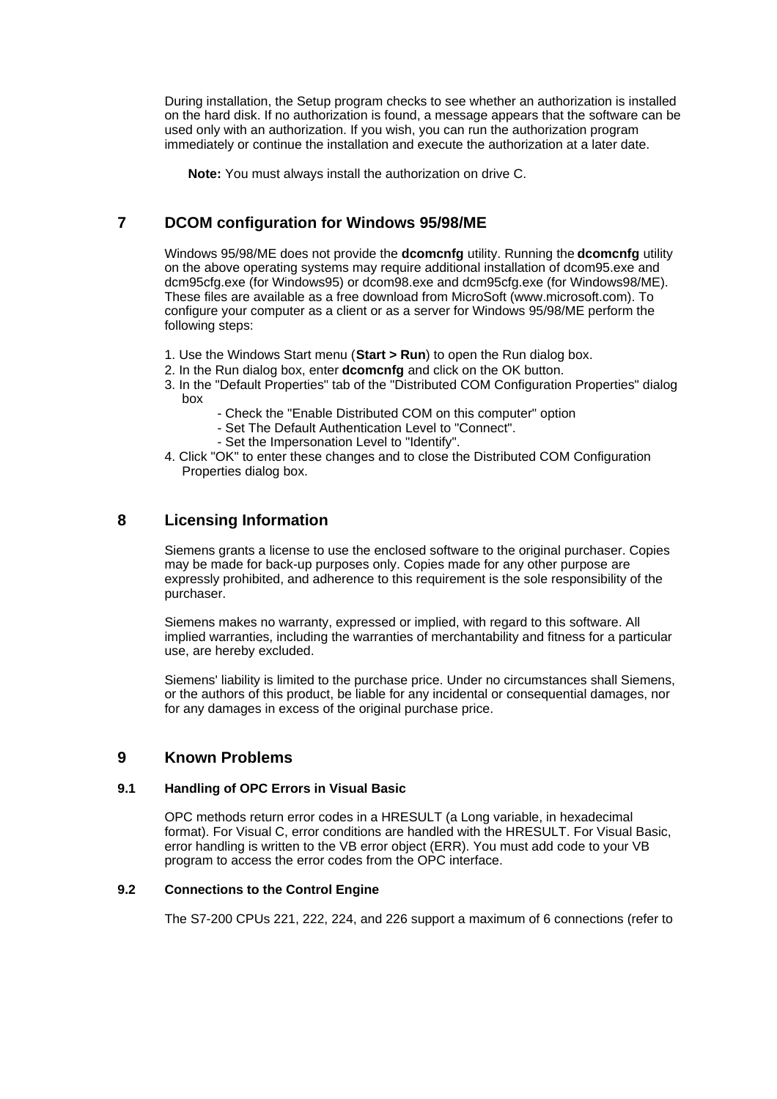During installation, the Setup program checks to see whether an authorization is installed on the hard disk. If no authorization is found, a message appears that the software can be used only with an authorization. If you wish, you can run the authorization program immediately or continue the installation and execute the authorization at a later date.

**Note:** You must always install the authorization on drive C.

# **7 DCOM configuration for Windows 95/98/ME**

Windows 95/98/ME does not provide the **dcomcnfg** utility. Running the **dcomcnfg** utility on the above operating systems may require additional installation of dcom95.exe and dcm95cfg.exe (for Windows95) or dcom98.exe and dcm95cfg.exe (for Windows98/ME). These files are available as a free download from MicroSoft (www.microsoft.com). To configure your computer as a client or as a server for Windows 95/98/ME perform the following steps:

- 1. Use the Windows Start menu (**Start > Run**) to open the Run dialog box.
- 2. In the Run dialog box, enter **dcomcnfg** and click on the OK button.
- 3. In the "Default Properties" tab of the "Distributed COM Configuration Properties" dialog box
	- Check the "Enable Distributed COM on this computer" option
	- Set The Default Authentication Level to "Connect".
	- Set the Impersonation Level to "Identify".
- 4. Click "OK" to enter these changes and to close the Distributed COM Configuration Properties dialog box.

# **8 Licensing Information**

Siemens grants a license to use the enclosed software to the original purchaser. Copies may be made for back-up purposes only. Copies made for any other purpose are expressly prohibited, and adherence to this requirement is the sole responsibility of the purchaser.

Siemens makes no warranty, expressed or implied, with regard to this software. All implied warranties, including the warranties of merchantability and fitness for a particular use, are hereby excluded.

Siemens' liability is limited to the purchase price. Under no circumstances shall Siemens, or the authors of this product, be liable for any incidental or consequential damages, nor for any damages in excess of the original purchase price.

# **9 Known Problems**

### **9.1 Handling of OPC Errors in Visual Basic**

OPC methods return error codes in a HRESULT (a Long variable, in hexadecimal format). For Visual C, error conditions are handled with the HRESULT. For Visual Basic, error handling is written to the VB error object (ERR). You must add code to your VB program to access the error codes from the OPC interface.

### **9.2 Connections to the Control Engine**

The S7-200 CPUs 221, 222, 224, and 226 support a maximum of 6 connections (refer to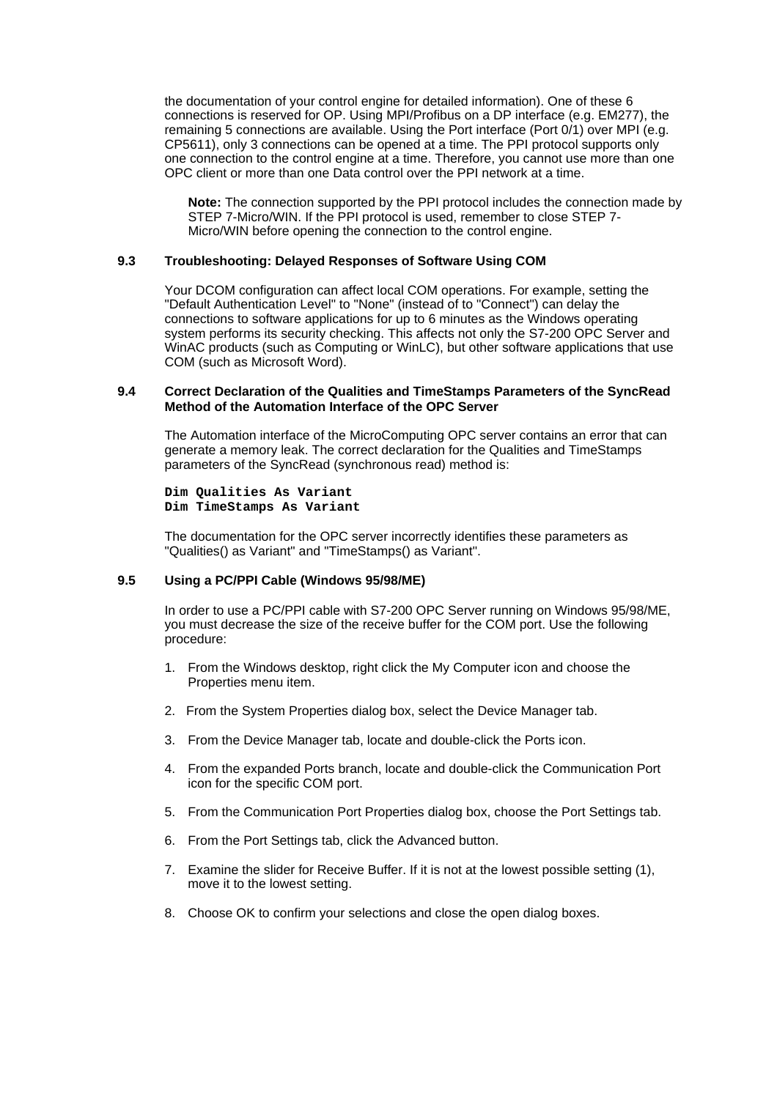the documentation of your control engine for detailed information). One of these 6 connections is reserved for OP. Using MPI/Profibus on a DP interface (e.g. EM277), the remaining 5 connections are available. Using the Port interface (Port 0/1) over MPI (e.g. CP5611), only 3 connections can be opened at a time. The PPI protocol supports only one connection to the control engine at a time. Therefore, you cannot use more than one OPC client or more than one Data control over the PPI network at a time.

**Note:** The connection supported by the PPI protocol includes the connection made by STEP 7-Micro/WIN. If the PPI protocol is used, remember to close STEP 7- Micro/WIN before opening the connection to the control engine.

#### **9.3 Troubleshooting: Delayed Responses of Software Using COM**

Your DCOM configuration can affect local COM operations. For example, setting the "Default Authentication Level" to "None" (instead of to "Connect") can delay the connections to software applications for up to 6 minutes as the Windows operating system performs its security checking. This affects not only the S7-200 OPC Server and WinAC products (such as Computing or WinLC), but other software applications that use COM (such as Microsoft Word).

#### **9.4 Correct Declaration of the Qualities and TimeStamps Parameters of the SyncRead Method of the Automation Interface of the OPC Server**

The Automation interface of the MicroComputing OPC server contains an error that can generate a memory leak. The correct declaration for the Qualities and TimeStamps parameters of the SyncRead (synchronous read) method is:

**Dim Qualities As Variant Dim TimeStamps As Variant**

The documentation for the OPC server incorrectly identifies these parameters as "Qualities() as Variant" and "TimeStamps() as Variant".

#### **9.5 Using a PC/PPI Cable (Windows 95/98/ME)**

In order to use a PC/PPI cable with S7-200 OPC Server running on Windows 95/98/ME, you must decrease the size of the receive buffer for the COM port. Use the following procedure:

- 1. From the Windows desktop, right click the My Computer icon and choose the Properties menu item.
- 2. From the System Properties dialog box, select the Device Manager tab.
- 3. From the Device Manager tab, locate and double-click the Ports icon.
- 4. From the expanded Ports branch, locate and double-click the Communication Port icon for the specific COM port.
- 5. From the Communication Port Properties dialog box, choose the Port Settings tab.
- 6. From the Port Settings tab, click the Advanced button.
- 7. Examine the slider for Receive Buffer. If it is not at the lowest possible setting (1), move it to the lowest setting.
- 8. Choose OK to confirm your selections and close the open dialog boxes.